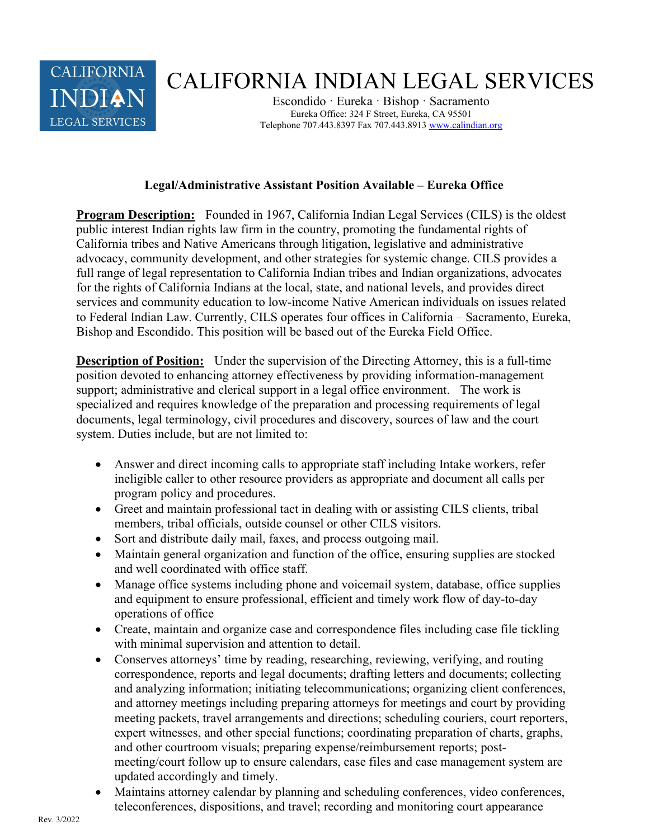

## CALIFORNIA INDIAN LEGAL SERVICES

Escondido · Eureka · Bishop · Sacramento Eureka Office: 324 F Street, Eureka, CA 95501 Telephone 707.443.8397 Fax 707.443.8913 www.calindian.org

## Legal/Administrative Assistant Position Available – Eureka Office

Program Description: Founded in 1967, California Indian Legal Services (CILS) is the oldest public interest Indian rights law firm in the country, promoting the fundamental rights of California tribes and Native Americans through litigation, legislative and administrative advocacy, community development, and other strategies for systemic change. CILS provides a full range of legal representation to California Indian tribes and Indian organizations, advocates for the rights of California Indians at the local, state, and national levels, and provides direct services and community education to low-income Native American individuals on issues related to Federal Indian Law. Currently, CILS operates four offices in California – Sacramento, Eureka, Bishop and Escondido. This position will be based out of the Eureka Field Office.

Description of Position: Under the supervision of the Directing Attorney, this is a full-time position devoted to enhancing attorney effectiveness by providing information-management support; administrative and clerical support in a legal office environment. The work is specialized and requires knowledge of the preparation and processing requirements of legal documents, legal terminology, civil procedures and discovery, sources of law and the court system. Duties include, but are not limited to:

- Answer and direct incoming calls to appropriate staff including Intake workers, refer ineligible caller to other resource providers as appropriate and document all calls per program policy and procedures.
- Greet and maintain professional tact in dealing with or assisting CILS clients, tribal members, tribal officials, outside counsel or other CILS visitors.
- Sort and distribute daily mail, faxes, and process outgoing mail.
- Maintain general organization and function of the office, ensuring supplies are stocked and well coordinated with office staff.
- Manage office systems including phone and voicemail system, database, office supplies and equipment to ensure professional, efficient and timely work flow of day-to-day operations of office
- Create, maintain and organize case and correspondence files including case file tickling with minimal supervision and attention to detail.
- Conserves attorneys' time by reading, researching, reviewing, verifying, and routing correspondence, reports and legal documents; drafting letters and documents; collecting and analyzing information; initiating telecommunications; organizing client conferences, and attorney meetings including preparing attorneys for meetings and court by providing meeting packets, travel arrangements and directions; scheduling couriers, court reporters, expert witnesses, and other special functions; coordinating preparation of charts, graphs, and other courtroom visuals; preparing expense/reimbursement reports; postmeeting/court follow up to ensure calendars, case files and case management system are updated accordingly and timely.
- Maintains attorney calendar by planning and scheduling conferences, video conferences, teleconferences, dispositions, and travel; recording and monitoring court appearance